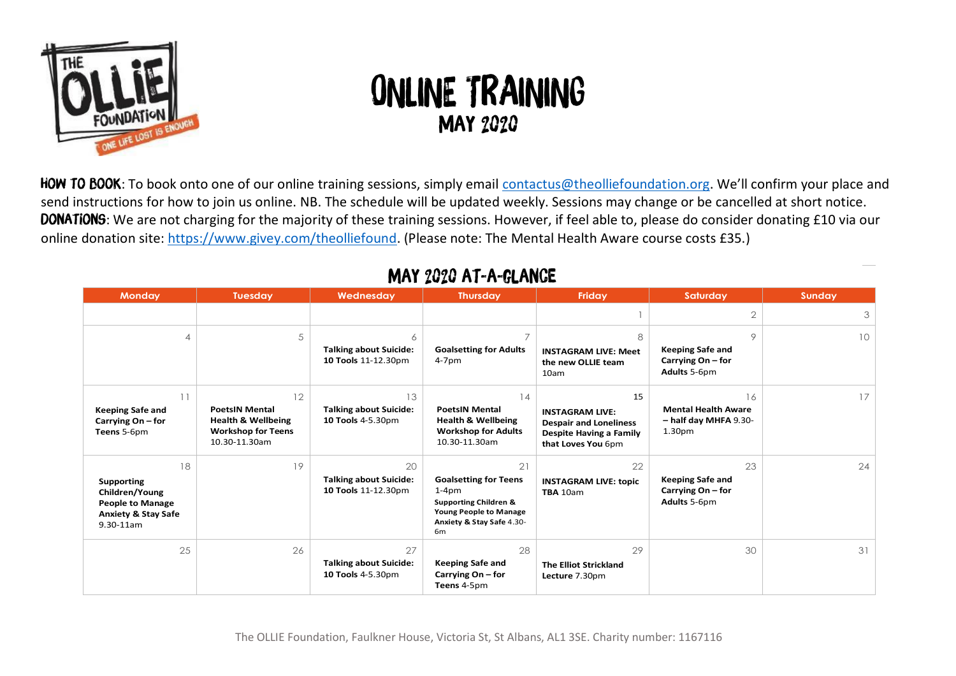

## ONLINE TRAINING May 2020

HOW TO BOOK: To book onto one of our online training sessions, simply email contactus@theolliefoundation.org. We'll confirm your place and send instructions for how to join us online. NB. The schedule will be updated weekly. Sessions may change or be cancelled at short notice. DONATIONS: We are not charging for the majority of these training sessions. However, if feel able to, please do consider donating £10 via our online donation site: https://www.givey.com/theolliefound. (Please note: The Mental Health Aware course costs £35.)

| <b>Monday</b>                                                                                                            | <b>Tuesday</b>                                                                                             | Wednesday                                                  | <b>Thursday</b>                                                                                                                                                   | Friday                                                                                                                | Saturday                                                                        | Sunday |
|--------------------------------------------------------------------------------------------------------------------------|------------------------------------------------------------------------------------------------------------|------------------------------------------------------------|-------------------------------------------------------------------------------------------------------------------------------------------------------------------|-----------------------------------------------------------------------------------------------------------------------|---------------------------------------------------------------------------------|--------|
|                                                                                                                          |                                                                                                            |                                                            |                                                                                                                                                                   |                                                                                                                       | $\overline{2}$                                                                  | 3      |
| ⊿                                                                                                                        | 5                                                                                                          | 6<br><b>Talking about Suicide:</b><br>10 Tools 11-12.30pm  | <b>Goalsetting for Adults</b><br>$4-7$ pm                                                                                                                         | 8<br><b>INSTAGRAM LIVE: Meet</b><br>the new OLLIE team<br>10am                                                        | 9<br><b>Keeping Safe and</b><br>Carrying On – for<br>Adults 5-6pm               | 10     |
| 11<br><b>Keeping Safe and</b><br>Carrying On – for<br>Teens 5-6pm                                                        | 12<br><b>PoetsIN Mental</b><br><b>Health &amp; Wellbeing</b><br><b>Workshop for Teens</b><br>10.30-11.30am | 13<br><b>Talking about Suicide:</b><br>10 Tools 4-5.30pm   | 14<br><b>PoetsIN Mental</b><br><b>Health &amp; Wellbeing</b><br><b>Workshop for Adults</b><br>10.30-11.30am                                                       | 15<br><b>INSTAGRAM LIVE:</b><br><b>Despair and Loneliness</b><br><b>Despite Having a Family</b><br>that Loves You 6pm | 16<br><b>Mental Health Aware</b><br>- half day MHFA 9.30-<br>1.30 <sub>pm</sub> | 17     |
| 18<br><b>Supporting</b><br>Children/Young<br><b>People to Manage</b><br><b>Anxiety &amp; Stay Safe</b><br>$9.30 - 11$ am | 19                                                                                                         | 20<br><b>Talking about Suicide:</b><br>10 Tools 11-12.30pm | 21<br><b>Goalsetting for Teens</b><br>$1-4pm$<br><b>Supporting Children &amp;</b><br><b>Young People to Manage</b><br>Anxiety & Stay Safe 4.30-<br>6 <sub>m</sub> | 22<br><b>INSTAGRAM LIVE: topic</b><br>TBA 10am                                                                        | 23<br><b>Keeping Safe and</b><br>Carrying On – for<br>Adults 5-6pm              | 24     |
| 25                                                                                                                       | 26                                                                                                         | 27<br><b>Talking about Suicide:</b><br>10 Tools 4-5.30pm   | 28<br><b>Keeping Safe and</b><br>Carrying On – for<br>Teens 4-5pm                                                                                                 | 29<br><b>The Elliot Strickland</b><br>Lecture 7.30pm                                                                  | 30                                                                              | 31     |

## may 2020 at-a-glance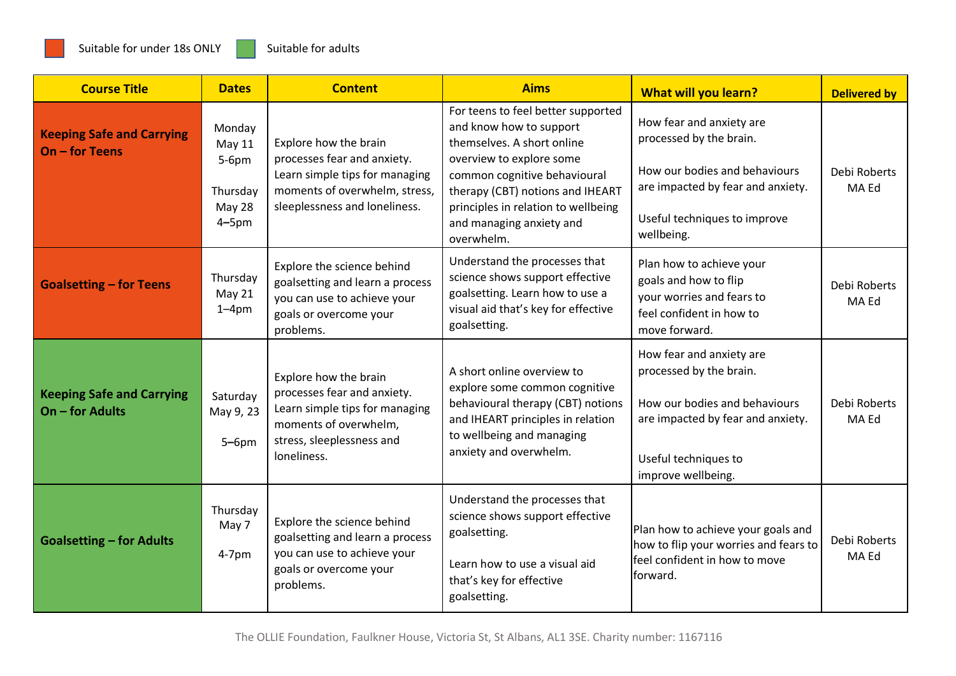| <b>Course Title</b>                                   | <b>Dates</b>                                                                  | <b>Content</b>                                                                                                                                              | <b>Aims</b>                                                                                                                                                                                                                                                                  | <b>What will you learn?</b>                                                                                                                                             | <b>Delivered by</b>   |
|-------------------------------------------------------|-------------------------------------------------------------------------------|-------------------------------------------------------------------------------------------------------------------------------------------------------------|------------------------------------------------------------------------------------------------------------------------------------------------------------------------------------------------------------------------------------------------------------------------------|-------------------------------------------------------------------------------------------------------------------------------------------------------------------------|-----------------------|
| <b>Keeping Safe and Carrying</b><br>On - for Teens    | Monday<br><b>May 11</b><br>$5-6$ pm<br>Thursday<br><b>May 28</b><br>$4 - 5pm$ | Explore how the brain<br>processes fear and anxiety.<br>Learn simple tips for managing<br>moments of overwhelm, stress,<br>sleeplessness and loneliness.    | For teens to feel better supported<br>and know how to support<br>themselves. A short online<br>overview to explore some<br>common cognitive behavioural<br>therapy (CBT) notions and IHEART<br>principles in relation to wellbeing<br>and managing anxiety and<br>overwhelm. | How fear and anxiety are<br>processed by the brain.<br>How our bodies and behaviours<br>are impacted by fear and anxiety.<br>Useful techniques to improve<br>wellbeing. | Debi Roberts<br>MA Ed |
| <b>Goalsetting - for Teens</b>                        | Thursday<br>May 21<br>$1 - 4pm$                                               | Explore the science behind<br>goalsetting and learn a process<br>you can use to achieve your<br>goals or overcome your<br>problems.                         | Understand the processes that<br>science shows support effective<br>goalsetting. Learn how to use a<br>visual aid that's key for effective<br>goalsetting.                                                                                                                   | Plan how to achieve your<br>goals and how to flip<br>your worries and fears to<br>feel confident in how to<br>move forward.                                             | Debi Roberts<br>MA Ed |
| <b>Keeping Safe and Carrying</b><br>$On$ – for Adults | Saturday<br>May 9, 23<br>$5-6$ pm                                             | Explore how the brain<br>processes fear and anxiety.<br>Learn simple tips for managing<br>moments of overwhelm,<br>stress, sleeplessness and<br>loneliness. | A short online overview to<br>explore some common cognitive<br>behavioural therapy (CBT) notions<br>and IHEART principles in relation<br>to wellbeing and managing<br>anxiety and overwhelm.                                                                                 | How fear and anxiety are<br>processed by the brain.<br>How our bodies and behaviours<br>are impacted by fear and anxiety.<br>Useful techniques to<br>improve wellbeing. | Debi Roberts<br>MA Ed |
| <b>Goalsetting - for Adults</b>                       | Thursday<br>May 7<br>$4-7$ pm                                                 | Explore the science behind<br>goalsetting and learn a process<br>you can use to achieve your<br>goals or overcome your<br>problems.                         | Understand the processes that<br>science shows support effective<br>goalsetting.<br>Learn how to use a visual aid<br>that's key for effective<br>goalsetting.                                                                                                                | Plan how to achieve your goals and<br>how to flip your worries and fears to<br>feel confident in how to move<br>forward.                                                | Debi Roberts<br>MA Ed |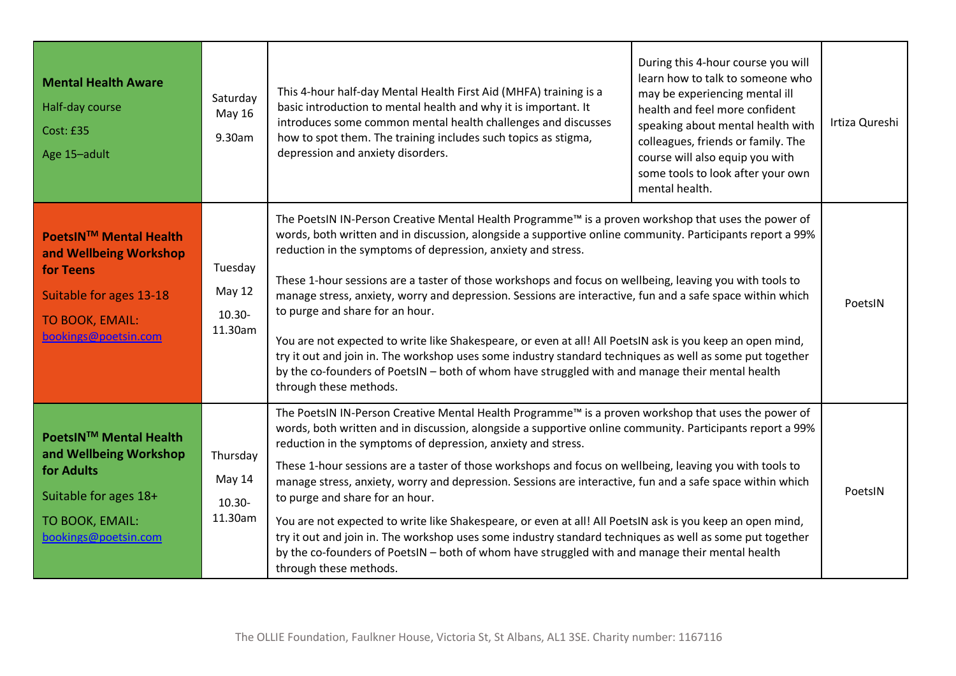| <b>Mental Health Aware</b><br><b>Half-day course</b><br><b>Cost: £35</b><br>Age 15-adult                                            | Saturday<br>May 16<br>9.30am                     | This 4-hour half-day Mental Health First Aid (MHFA) training is a<br>basic introduction to mental health and why it is important. It<br>introduces some common mental health challenges and discusses<br>how to spot them. The training includes such topics as stigma,<br>depression and anxiety disorders.                                                                                                                                                                                                                                                                                                                                                                                                                                                                                                                                                                                      | During this 4-hour course you will<br>learn how to talk to someone who<br>may be experiencing mental ill<br>health and feel more confident<br>speaking about mental health with<br>colleagues, friends or family. The<br>course will also equip you with<br>some tools to look after your own<br>mental health. | Irtiza Qureshi |
|-------------------------------------------------------------------------------------------------------------------------------------|--------------------------------------------------|---------------------------------------------------------------------------------------------------------------------------------------------------------------------------------------------------------------------------------------------------------------------------------------------------------------------------------------------------------------------------------------------------------------------------------------------------------------------------------------------------------------------------------------------------------------------------------------------------------------------------------------------------------------------------------------------------------------------------------------------------------------------------------------------------------------------------------------------------------------------------------------------------|-----------------------------------------------------------------------------------------------------------------------------------------------------------------------------------------------------------------------------------------------------------------------------------------------------------------|----------------|
| PoetsIN™ Mental Health<br>and Wellbeing Workshop<br>for Teens<br>Suitable for ages 13-18<br>TO BOOK, EMAIL:<br>bookings@poetsin.com | Tuesday<br><b>May 12</b><br>$10.30 -$<br>11.30am | The PoetsIN IN-Person Creative Mental Health Programme™ is a proven workshop that uses the power of<br>words, both written and in discussion, alongside a supportive online community. Participants report a 99%<br>reduction in the symptoms of depression, anxiety and stress.<br>These 1-hour sessions are a taster of those workshops and focus on wellbeing, leaving you with tools to<br>manage stress, anxiety, worry and depression. Sessions are interactive, fun and a safe space within which<br>to purge and share for an hour.<br>You are not expected to write like Shakespeare, or even at all! All PoetsIN ask is you keep an open mind,<br>try it out and join in. The workshop uses some industry standard techniques as well as some put together<br>by the co-founders of PoetsIN - both of whom have struggled with and manage their mental health<br>through these methods. |                                                                                                                                                                                                                                                                                                                 | PoetsIN        |
| PoetsIN™ Mental Health<br>and Wellbeing Workshop<br>for Adults<br>Suitable for ages 18+<br>TO BOOK, EMAIL:<br>bookings@poetsin.com  | Thursday<br>May 14<br>$10.30 -$<br>11.30am       | The PoetsIN IN-Person Creative Mental Health Programme™ is a proven workshop that uses the power of<br>words, both written and in discussion, alongside a supportive online community. Participants report a 99%<br>reduction in the symptoms of depression, anxiety and stress.<br>These 1-hour sessions are a taster of those workshops and focus on wellbeing, leaving you with tools to<br>manage stress, anxiety, worry and depression. Sessions are interactive, fun and a safe space within which<br>to purge and share for an hour.<br>You are not expected to write like Shakespeare, or even at all! All PoetsIN ask is you keep an open mind,<br>try it out and join in. The workshop uses some industry standard techniques as well as some put together<br>by the co-founders of PoetsIN - both of whom have struggled with and manage their mental health<br>through these methods. |                                                                                                                                                                                                                                                                                                                 | PoetsIN        |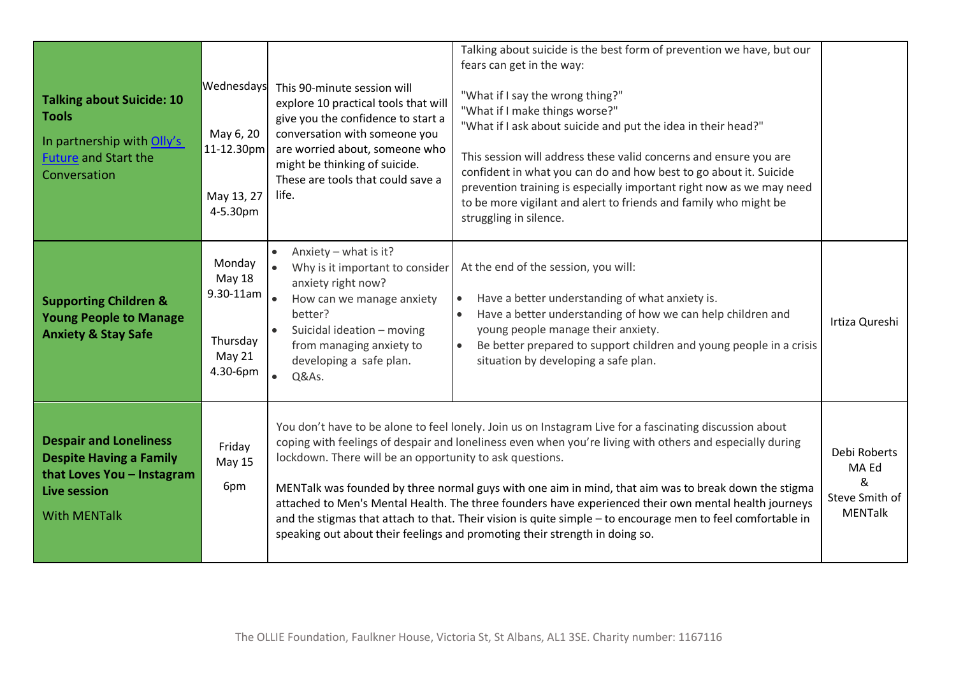| <b>Talking about Suicide: 10</b><br><b>Tools</b><br>In partnership with Olly's<br><b>Future and Start the</b><br>Conversation               | Wednesdays<br>May 6, 20<br>11-12.30pm<br>May 13, 27<br>4-5.30pm             | This 90-minute session will<br>explore 10 practical tools that will<br>give you the confidence to start a<br>conversation with someone you<br>are worried about, someone who<br>might be thinking of suicide.<br>These are tools that could save a<br>life.                                                                                                                                                                                                                                                                                                                                                                                                                                    | Talking about suicide is the best form of prevention we have, but our<br>fears can get in the way:<br>"What if I say the wrong thing?"<br>"What if I make things worse?"<br>"What if I ask about suicide and put the idea in their head?"<br>This session will address these valid concerns and ensure you are<br>confident in what you can do and how best to go about it. Suicide<br>prevention training is especially important right now as we may need<br>to be more vigilant and alert to friends and family who might be<br>struggling in silence. |                |  |                                                                |
|---------------------------------------------------------------------------------------------------------------------------------------------|-----------------------------------------------------------------------------|------------------------------------------------------------------------------------------------------------------------------------------------------------------------------------------------------------------------------------------------------------------------------------------------------------------------------------------------------------------------------------------------------------------------------------------------------------------------------------------------------------------------------------------------------------------------------------------------------------------------------------------------------------------------------------------------|-----------------------------------------------------------------------------------------------------------------------------------------------------------------------------------------------------------------------------------------------------------------------------------------------------------------------------------------------------------------------------------------------------------------------------------------------------------------------------------------------------------------------------------------------------------|----------------|--|----------------------------------------------------------------|
| <b>Supporting Children &amp;</b><br><b>Young People to Manage</b><br><b>Anxiety &amp; Stay Safe</b>                                         | Monday<br>May 18<br>$9.30 - 11$ am<br>Thursday<br><b>May 21</b><br>4.30-6pm | Anxiety - what is it?<br>Why is it important to consider<br>anxiety right now?<br>How can we manage anxiety<br>better?<br>Suicidal ideation - moving<br>from managing anxiety to<br>developing a safe plan.<br>Q&As.                                                                                                                                                                                                                                                                                                                                                                                                                                                                           | At the end of the session, you will:<br>Have a better understanding of what anxiety is.<br>$\bullet$<br>Have a better understanding of how we can help children and<br>$\bullet$<br>young people manage their anxiety.<br>Be better prepared to support children and young people in a crisis<br>$\bullet$<br>situation by developing a safe plan.                                                                                                                                                                                                        | Irtiza Qureshi |  |                                                                |
| <b>Despair and Loneliness</b><br><b>Despite Having a Family</b><br>that Loves You - Instagram<br><b>Live session</b><br><b>With MENTalk</b> | Friday<br><b>May 15</b><br>6pm                                              | You don't have to be alone to feel lonely. Join us on Instagram Live for a fascinating discussion about<br>coping with feelings of despair and loneliness even when you're living with others and especially during<br>lockdown. There will be an opportunity to ask questions.<br>MENTalk was founded by three normal guys with one aim in mind, that aim was to break down the stigma<br>attached to Men's Mental Health. The three founders have experienced their own mental health journeys<br>and the stigmas that attach to that. Their vision is quite simple - to encourage men to feel comfortable in<br>speaking out about their feelings and promoting their strength in doing so. |                                                                                                                                                                                                                                                                                                                                                                                                                                                                                                                                                           |                |  | Debi Roberts<br>MA Ed<br>&<br>Steve Smith of<br><b>MENTalk</b> |